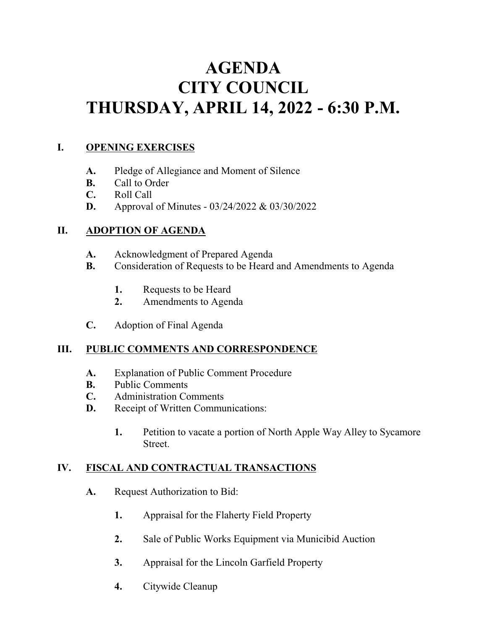# **AGENDA CITY COUNCIL THURSDAY, APRIL 14, 2022 - 6:30 P.M.**

#### **I. OPENING EXERCISES**

- **A.** Pledge of Allegiance and Moment of Silence
- **B.** Call to Order
- **C.** Roll Call
- **D.** Approval of Minutes 03/24/2022 & 03/30/2022

# **II. ADOPTION OF AGENDA**

- **A.** Acknowledgment of Prepared Agenda
- **B.** Consideration of Requests to be Heard and Amendments to Agenda
	- **1.** Requests to be Heard
	- **2.** Amendments to Agenda
- **C.** Adoption of Final Agenda

# **III. PUBLIC COMMENTS AND CORRESPONDENCE**

- **A.** Explanation of Public Comment Procedure
- **B.** Public Comments
- **C.** Administration Comments
- **D.** Receipt of Written Communications:
	- **1.** Petition to vacate a portion of North Apple Way Alley to Sycamore Street.

# **IV. FISCAL AND CONTRACTUAL TRANSACTIONS**

- **A.** Request Authorization to Bid:
	- **1.** Appraisal for the Flaherty Field Property
	- **2.** Sale of Public Works Equipment via Municibid Auction
	- **3.** Appraisal for the Lincoln Garfield Property
	- **4.** Citywide Cleanup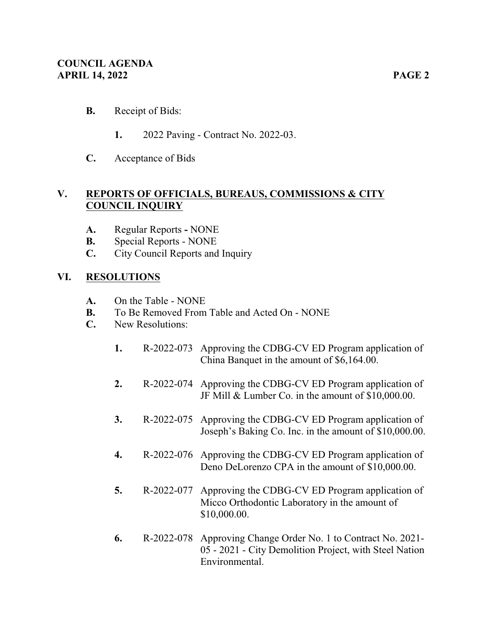- **1.** 2022 Paving Contract No. 2022-03.
- **C.** Acceptance of Bids

## **V. REPORTS OF OFFICIALS, BUREAUS, COMMISSIONS & CITY COUNCIL INQUIRY**

- **A.** Regular ReportsNONE
- **B.** Special Reports NONE
- **C.** City Council Reports and Inquiry

#### **VI. RESOLUTIONS**

- **A.** On the Table NONE
- **B.** To Be Removed From Table and Acted On NONE
- **C.** New Resolutions:
	- **1.** R-2022-073 Approving the CDBG-CV ED Program application of China Banquet in the amount of \$6,164.00.
	- **2.** R-2022-074 Approving the CDBG-CV ED Program application of JF Mill & Lumber Co. in the amount of \$10,000.00.
	- **3.** R-2022-075 Approving the CDBG-CV ED Program application of Joseph's Baking Co. Inc. in the amount of \$10,000.00.
	- **4.** R-2022-076 Approving the CDBG-CV ED Program application of Deno DeLorenzo CPA in the amount of \$10,000.00.
	- **5.** R-2022-077 Approving the CDBG-CV ED Program application of Micco Orthodontic Laboratory in the amount of \$10,000.00.
	- **6.** R-2022-078 Approving Change Order No. 1 to Contract No. 2021- 05 - 2021 - City Demolition Project, with Steel Nation Environmental.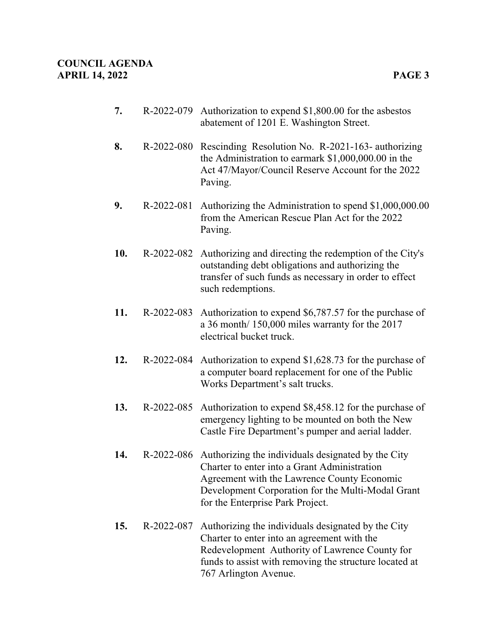- **7.** R-2022-079 Authorization to expend \$1,800.00 for the asbestos abatement of 1201 E. Washington Street.
- **8.** R-2022-080 Rescinding Resolution No. R-2021-163- authorizing the Administration to earmark \$1,000,000.00 in the Act 47/Mayor/Council Reserve Account for the 2022 Paving.
- **9.** R-2022-081 Authorizing the Administration to spend \$1,000,000.00 from the American Rescue Plan Act for the 2022 Paving.
- **10.** R-2022-082 Authorizing and directing the redemption of the City's outstanding debt obligations and authorizing the transfer of such funds as necessary in order to effect such redemptions.
- **11.** R-2022-083 Authorization to expend \$6,787.57 for the purchase of a 36 month/ 150,000 miles warranty for the 2017 electrical bucket truck.
- **12.** R-2022-084 Authorization to expend \$1,628.73 for the purchase of a computer board replacement for one of the Public Works Department's salt trucks.
- **13.** R-2022-085 Authorization to expend \$8,458.12 for the purchase of emergency lighting to be mounted on both the New Castle Fire Department's pumper and aerial ladder.
- **14.** R-2022-086 Authorizing the individuals designated by the City Charter to enter into a Grant Administration Agreement with the Lawrence County Economic Development Corporation for the Multi-Modal Grant for the Enterprise Park Project.
- **15.** R-2022-087 Authorizing the individuals designated by the City Charter to enter into an agreement with the Redevelopment Authority of Lawrence County for funds to assist with removing the structure located at 767 Arlington Avenue.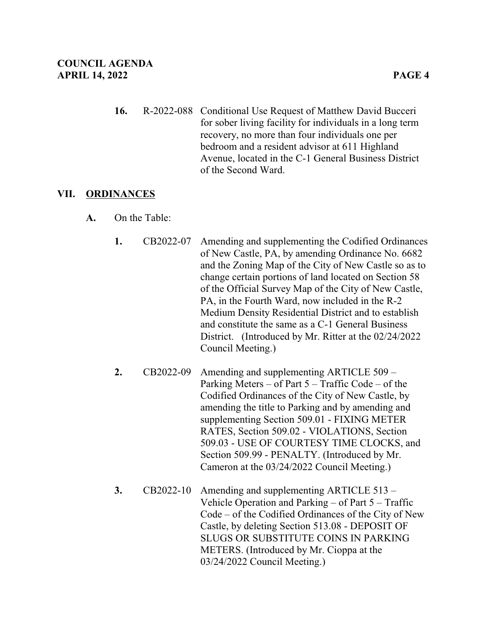**16.** R-2022-088 Conditional Use Request of Matthew David Bucceri for sober living facility for individuals in a long term recovery, no more than four individuals one per bedroom and a resident advisor at 611 Highland Avenue, located in the C-1 General Business District of the Second Ward.

#### **VII. ORDINANCES**

- **A.** On the Table:
	- **1.** CB2022-07 Amending and supplementing the Codified Ordinances of New Castle, PA, by amending Ordinance No. 6682 and the Zoning Map of the City of New Castle so as to change certain portions of land located on Section 58 of the Official Survey Map of the City of New Castle, PA, in the Fourth Ward, now included in the R-2 Medium Density Residential District and to establish and constitute the same as a C-1 General Business District. (Introduced by Mr. Ritter at the 02/24/2022 Council Meeting.)
	- **2.** CB2022-09 Amending and supplementing ARTICLE 509 Parking Meters – of Part 5 – Traffic Code – of the Codified Ordinances of the City of New Castle, by amending the title to Parking and by amending and supplementing Section 509.01 - FIXING METER RATES, Section 509.02 - VIOLATIONS, Section 509.03 - USE OF COURTESY TIME CLOCKS, and Section 509.99 - PENALTY. (Introduced by Mr. Cameron at the 03/24/2022 Council Meeting.)
	- **3.** CB2022-10 Amending and supplementing ARTICLE 513 Vehicle Operation and Parking – of Part 5 – Traffic Code – of the Codified Ordinances of the City of New Castle, by deleting Section 513.08 - DEPOSIT OF SLUGS OR SUBSTITUTE COINS IN PARKING METERS. (Introduced by Mr. Cioppa at the 03/24/2022 Council Meeting.)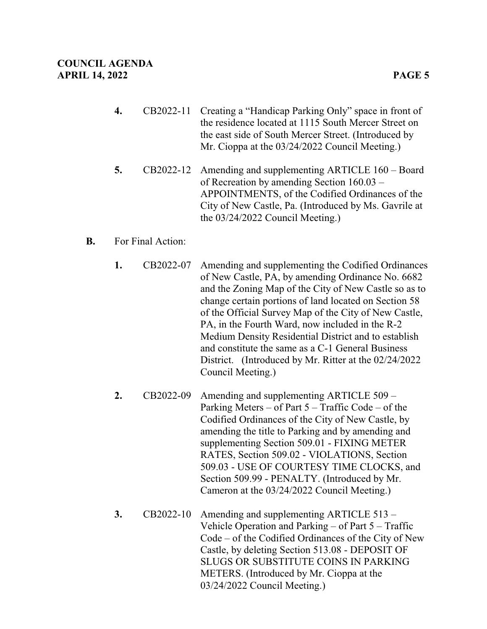- **4.** CB2022-11 Creating a "Handicap Parking Only" space in front of the residence located at 1115 South Mercer Street on the east side of South Mercer Street. (Introduced by Mr. Cioppa at the 03/24/2022 Council Meeting.)
- **5.** CB2022-12 Amending and supplementing ARTICLE 160 Board of Recreation by amending Section 160.03 – APPOINTMENTS, of the Codified Ordinances of the City of New Castle, Pa. (Introduced by Ms. Gavrile at the 03/24/2022 Council Meeting.)

#### **B.** For Final Action:

- **1.** CB2022-07 Amending and supplementing the Codified Ordinances of New Castle, PA, by amending Ordinance No. 6682 and the Zoning Map of the City of New Castle so as to change certain portions of land located on Section 58 of the Official Survey Map of the City of New Castle, PA, in the Fourth Ward, now included in the R-2 Medium Density Residential District and to establish and constitute the same as a C-1 General Business District. (Introduced by Mr. Ritter at the 02/24/2022 Council Meeting.)
- **2.** CB2022-09 Amending and supplementing ARTICLE 509 Parking Meters – of Part 5 – Traffic Code – of the Codified Ordinances of the City of New Castle, by amending the title to Parking and by amending and supplementing Section 509.01 - FIXING METER RATES, Section 509.02 - VIOLATIONS, Section 509.03 - USE OF COURTESY TIME CLOCKS, and Section 509.99 - PENALTY. (Introduced by Mr. Cameron at the 03/24/2022 Council Meeting.)
- **3.** CB2022-10 Amending and supplementing ARTICLE 513 Vehicle Operation and Parking – of Part 5 – Traffic Code – of the Codified Ordinances of the City of New Castle, by deleting Section 513.08 - DEPOSIT OF SLUGS OR SUBSTITUTE COINS IN PARKING METERS. (Introduced by Mr. Cioppa at the 03/24/2022 Council Meeting.)